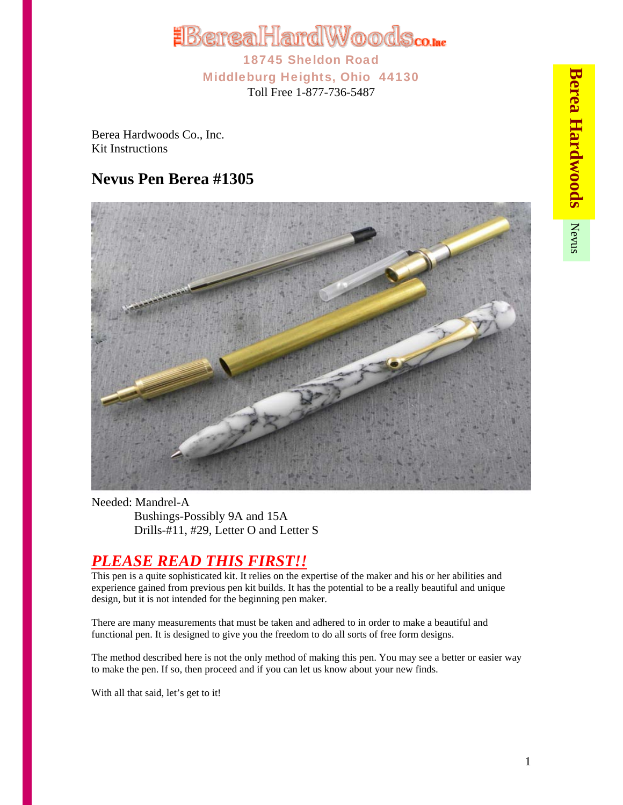EBereaHardWoodsco.ne

Middleburg Heights, Ohio 44130 Toll Free 1-877-736-5487

Berea Hardwoods Co., Inc. Kit Instructions

## **Nevus Pen Berea #1305**



Needed: Mandrel-A Bushings-Possibly 9A and 15A Drills-#11, #29, Letter O and Letter S

# *PLEASE READ THIS FIRST!!*

This pen is a quite sophisticated kit. It relies on the expertise of the maker and his or her abilities and experience gained from previous pen kit builds. It has the potential to be a really beautiful and unique design, but it is not intended for the beginning pen maker.

There are many measurements that must be taken and adhered to in order to make a beautiful and functional pen. It is designed to give you the freedom to do all sorts of free form designs.

The method described here is not the only method of making this pen. You may see a better or easier way to make the pen. If so, then proceed and if you can let us know about your new finds.

With all that said, let's get to it!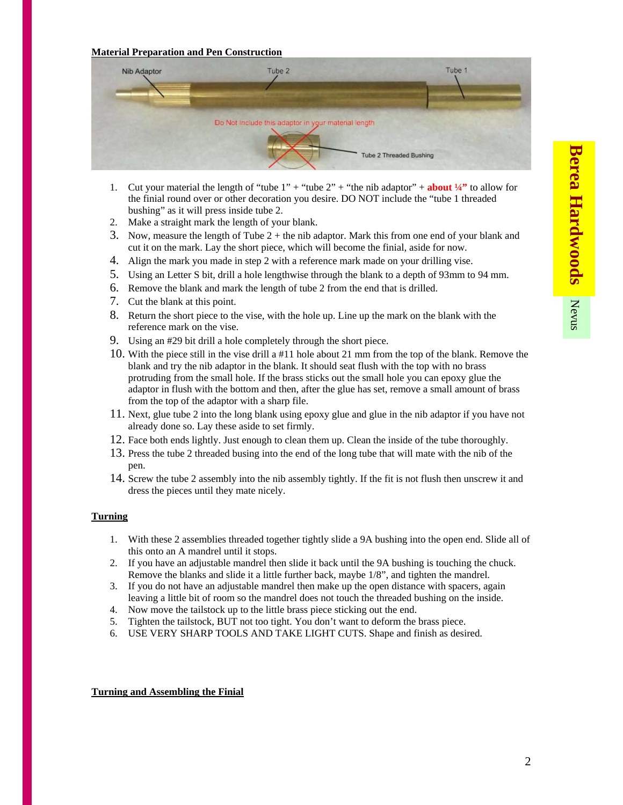### **Material Preparation and Pen Construction**



- 1. Cut your material the length of "tube  $1$ " + "tube  $2$ " + "the nib adaptor" + **about**  $\frac{1}{4}$ " to allow for the finial round over or other decoration you desire. DO NOT include the "tube 1 threaded bushing" as it will press inside tube 2.
- 2. Make a straight mark the length of your blank.
- 3. Now, measure the length of Tube  $2 +$  the nib adaptor. Mark this from one end of your blank and cut it on the mark. Lay the short piece, which will become the finial, aside for now.
- 4. Align the mark you made in step 2 with a reference mark made on your drilling vise.
- 5. Using an Letter S bit, drill a hole lengthwise through the blank to a depth of 93mm to 94 mm.
- 6. Remove the blank and mark the length of tube 2 from the end that is drilled.
- 7. Cut the blank at this point.
- 8. Return the short piece to the vise, with the hole up. Line up the mark on the blank with the reference mark on the vise.
- 9. Using an #29 bit drill a hole completely through the short piece.
- 10. With the piece still in the vise drill a #11 hole about 21 mm from the top of the blank. Remove the blank and try the nib adaptor in the blank. It should seat flush with the top with no brass protruding from the small hole. If the brass sticks out the small hole you can epoxy glue the adaptor in flush with the bottom and then, after the glue has set, remove a small amount of brass from the top of the adaptor with a sharp file.
- 11. Next, glue tube 2 into the long blank using epoxy glue and glue in the nib adaptor if you have not already done so. Lay these aside to set firmly.
- 12. Face both ends lightly. Just enough to clean them up. Clean the inside of the tube thoroughly.
- 13. Press the tube 2 threaded busing into the end of the long tube that will mate with the nib of the pen.
- 14. Screw the tube 2 assembly into the nib assembly tightly. If the fit is not flush then unscrew it and dress the pieces until they mate nicely.

#### **Turning**

- 1. With these 2 assemblies threaded together tightly slide a 9A bushing into the open end. Slide all of this onto an A mandrel until it stops.
- 2. If you have an adjustable mandrel then slide it back until the 9A bushing is touching the chuck. Remove the blanks and slide it a little further back, maybe 1/8", and tighten the mandrel.
- 3. If you do not have an adjustable mandrel then make up the open distance with spacers, again leaving a little bit of room so the mandrel does not touch the threaded bushing on the inside.
- 4. Now move the tailstock up to the little brass piece sticking out the end.
- 5. Tighten the tailstock, BUT not too tight. You don't want to deform the brass piece.
- 6. USE VERY SHARP TOOLS AND TAKE LIGHT CUTS. Shape and finish as desired.

#### **Turning and Assembling the Finial**